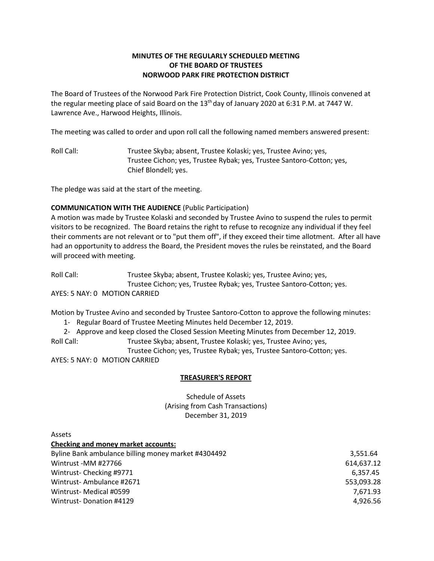# **MINUTES OF THE REGULARLY SCHEDULED MEETING OF THE BOARD OF TRUSTEES NORWOOD PARK FIRE PROTECTION DISTRICT**

The Board of Trustees of the Norwood Park Fire Protection District, Cook County, Illinois convened at the regular meeting place of said Board on the 13<sup>th</sup> day of January 2020 at 6:31 P.M. at 7447 W. Lawrence Ave., Harwood Heights, Illinois.

The meeting was called to order and upon roll call the following named members answered present:

Roll Call: Trustee Skyba; absent, Trustee Kolaski; yes, Trustee Avino; yes, Trustee Cichon; yes, Trustee Rybak; yes, Trustee Santoro-Cotton; yes, Chief Blondell; yes.

The pledge was said at the start of the meeting.

## **COMMUNICATION WITH THE AUDIENCE** (Public Participation)

A motion was made by Trustee Kolaski and seconded by Trustee Avino to suspend the rules to permit visitors to be recognized. The Board retains the right to refuse to recognize any individual if they feel their comments are not relevant or to "put them off", if they exceed their time allotment. After all have had an opportunity to address the Board, the President moves the rules be reinstated, and the Board will proceed with meeting.

Roll Call: Trustee Skyba; absent, Trustee Kolaski; yes, Trustee Avino; yes, Trustee Cichon; yes, Trustee Rybak; yes, Trustee Santoro-Cotton; yes. AYES: 5 NAY: 0 MOTION CARRIED

Motion by Trustee Avino and seconded by Trustee Santoro-Cotton to approve the following minutes:

1- Regular Board of Trustee Meeting Minutes held December 12, 2019.

2- Approve and keep closed the Closed Session Meeting Minutes from December 12, 2019. Roll Call: Trustee Skyba; absent, Trustee Kolaski; yes, Trustee Avino; yes, Trustee Cichon; yes, Trustee Rybak; yes, Trustee Santoro-Cotton; yes.

AYES: 5 NAY: 0 MOTION CARRIED

## **TREASURER'S REPORT**

Schedule of Assets (Arising from Cash Transactions) December 31, 2019

| Assets                                              |            |
|-----------------------------------------------------|------------|
| <b>Checking and money market accounts:</b>          |            |
| Byline Bank ambulance billing money market #4304492 | 3,551.64   |
| Wintrust-MM #27766                                  | 614,637.12 |
| Wintrust-Checking #9771                             | 6.357.45   |
| Wintrust-Ambulance #2671                            | 553,093.28 |
| Wintrust- Medical #0599                             | 7.671.93   |
| <b>Wintrust-Donation #4129</b>                      | 4.926.56   |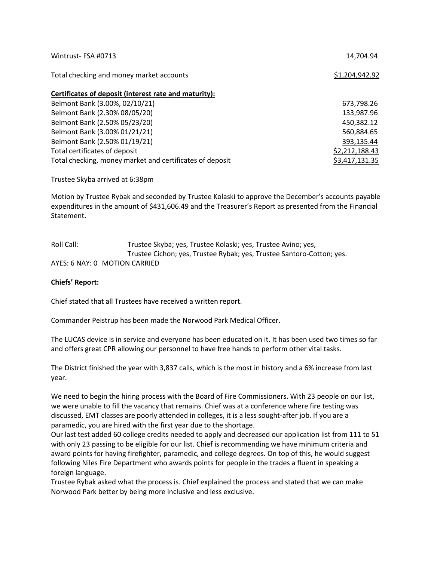| Wintrust-FSA #0713                                       | 14,704.94      |
|----------------------------------------------------------|----------------|
| Total checking and money market accounts                 | \$1,204,942.92 |
| Certificates of deposit (interest rate and maturity):    |                |
| Belmont Bank (3.00%, 02/10/21)                           | 673,798.26     |
| Belmont Bank (2.30% 08/05/20)                            | 133,987.96     |
| Belmont Bank (2.50% 05/23/20)                            | 450,382.12     |
| Belmont Bank (3.00% 01/21/21)                            | 560,884.65     |
| Belmont Bank (2.50% 01/19/21)                            | 393.135.44     |
| Total certificates of deposit                            | \$2,212,188.43 |
| Total checking, money market and certificates of deposit | \$3,417,131.35 |

Trustee Skyba arrived at 6:38pm

Motion by Trustee Rybak and seconded by Trustee Kolaski to approve the December's accounts payable expenditures in the amount of \$431,606.49 and the Treasurer's Report as presented from the Financial Statement.

| Roll Call: | Trustee Skyba; yes, Trustee Kolaski; yes, Trustee Avino; yes,         |
|------------|-----------------------------------------------------------------------|
|            | Trustee Cichon; yes, Trustee Rybak; yes, Trustee Santoro-Cotton; yes. |
|            | AYES: 6 NAY: 0 MOTION CARRIED                                         |

## **Chiefs' Report:**

Chief stated that all Trustees have received a written report.

Commander Peistrup has been made the Norwood Park Medical Officer.

The LUCAS device is in service and everyone has been educated on it. It has been used two times so far and offers great CPR allowing our personnel to have free hands to perform other vital tasks.

The District finished the year with 3,837 calls, which is the most in history and a 6% increase from last year.

We need to begin the hiring process with the Board of Fire Commissioners. With 23 people on our list, we were unable to fill the vacancy that remains. Chief was at a conference where fire testing was discussed, EMT classes are poorly attended in colleges, it is a less sought-after job. If you are a paramedic, you are hired with the first year due to the shortage.

Our last test added 60 college credits needed to apply and decreased our application list from 111 to 51 with only 23 passing to be eligible for our list. Chief is recommending we have minimum criteria and award points for having firefighter, paramedic, and college degrees. On top of this, he would suggest following Niles Fire Department who awards points for people in the trades a fluent in speaking a foreign language.

Trustee Rybak asked what the process is. Chief explained the process and stated that we can make Norwood Park better by being more inclusive and less exclusive.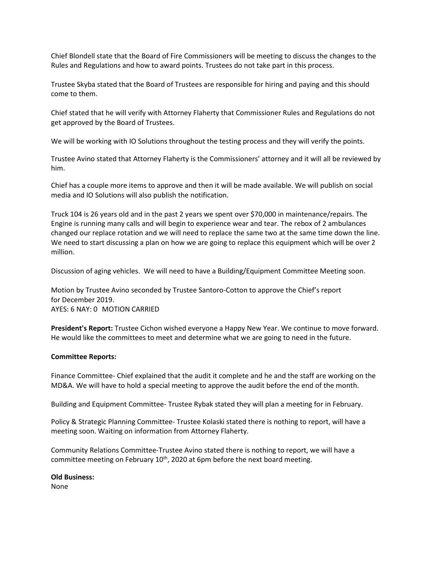Chief Blondell state that the Board of Fire Commissioners will be meeting to discuss the changes to the Rules and Regulations and how to award points. Trustees do not take part in this process.

Trustee Skyba stated that the Board of Trustees are responsible for hiring and paying and this should come to them.

Chief stated that he will verify with Attorney Flaherty that Commissioner Rules and Regulations do not get approved by the Board of Trustees.

We will be working with IO Solutions throughout the testing process and they will verify the points.

Trustee Avino stated that Attorney Flaherty is the Commissioners' attorney and it will all be reviewed by him.

Chief has a couple more items to approve and then it will be made available. We will publish on social media and IO Solutions will also publish the notification.

Truck 104 is 26 years old and in the past 2 years we spent over \$70,000 in maintenance/repairs. The Engine is running many calls and will begin to experience wear and tear. The rebox of 2 ambulances changed our replace rotation and we will need to replace the same two at the same time down the line. We need to start discussing a plan on how we are going to replace this equipment which will be over 2 million.

Discussion of aging vehicles. We will need to have a Building/Equipment Committee Meeting soon.

Motion by Trustee Avino seconded by Trustee Santoro-Cotton to approve the Chief's report for December 2019. AYES: 6 NAY: 0 MOTION CARRIED

**President's Report:** Trustee Cichon wished everyone a Happy New Year. We continue to move forward. He would like the committees to meet and determine what we are going to need in the future.

#### **Committee Reports:**

Finance Committee- Chief explained that the audit it complete and he and the staff are working on the MD&A. We will have to hold a special meeting to approve the audit before the end of the month.

Building and Equipment Committee- Trustee Rybak stated they will plan a meeting for in February.

Policy & Strategic Planning Committee- Trustee Kolaski stated there is nothing to report, will have a meeting soon. Waiting on information from Attorney Flaherty.

Community Relations Committee-Trustee Avino stated there is nothing to report, we will have a committee meeting on February  $10<sup>th</sup>$ , 2020 at 6pm before the next board meeting.

**Old Business:** None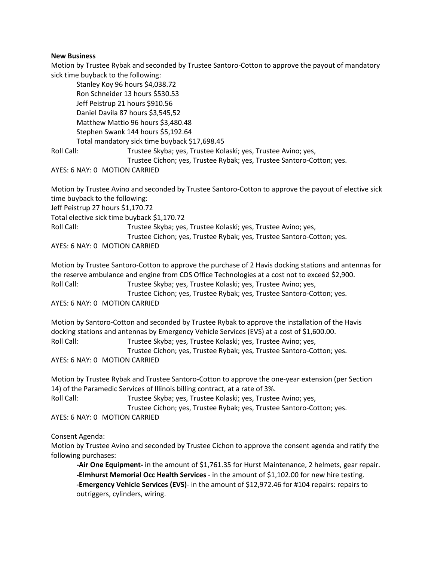#### **New Business**

Motion by Trustee Rybak and seconded by Trustee Santoro-Cotton to approve the payout of mandatory sick time buyback to the following:

Stanley Koy 96 hours \$4,038.72 Ron Schneider 13 hours \$530.53 Jeff Peistrup 21 hours \$910.56 Daniel Davila 87 hours \$3,545,52 Matthew Mattio 96 hours \$3,480.48 Stephen Swank 144 hours \$5,192.64 Total mandatory sick time buyback \$17,698.45

Roll Call: Trustee Skyba; yes, Trustee Kolaski; yes, Trustee Avino; yes,

Trustee Cichon; yes, Trustee Rybak; yes, Trustee Santoro-Cotton; yes.

#### AYES: 6 NAY: 0 MOTION CARRIED

Motion by Trustee Avino and seconded by Trustee Santoro-Cotton to approve the payout of elective sick time buyback to the following:

Jeff Peistrup 27 hours \$1,170.72

Total elective sick time buyback \$1,170.72

Roll Call: Trustee Skyba; yes, Trustee Kolaski; yes, Trustee Avino; yes, Trustee Cichon; yes, Trustee Rybak; yes, Trustee Santoro-Cotton; yes.

AYES: 6 NAY: 0 MOTION CARRIED

Motion by Trustee Santoro-Cotton to approve the purchase of 2 Havis docking stations and antennas for the reserve ambulance and engine from CDS Office Technologies at a cost not to exceed \$2,900. Roll Call: Trustee Skyba; yes, Trustee Kolaski; yes, Trustee Avino; yes, Trustee Cichon; yes, Trustee Rybak; yes, Trustee Santoro-Cotton; yes.

AYES: 6 NAY: 0 MOTION CARRIED

Motion by Santoro-Cotton and seconded by Trustee Rybak to approve the installation of the Havis docking stations and antennas by Emergency Vehicle Services (EVS) at a cost of \$1,600.00. Roll Call: Trustee Skyba; yes, Trustee Kolaski; yes, Trustee Avino; yes, Trustee Cichon; yes, Trustee Rybak; yes, Trustee Santoro-Cotton; yes. AYES: 6 NAY: 0 MOTION CARRIED

Motion by Trustee Rybak and Trustee Santoro-Cotton to approve the one-year extension (per Section 14) of the Paramedic Services of Illinois billing contract, at a rate of 3%. Roll Call: Trustee Skyba; yes, Trustee Kolaski; yes, Trustee Avino; yes,

Trustee Cichon; yes, Trustee Rybak; yes, Trustee Santoro-Cotton; yes.

AYES: 6 NAY: 0 MOTION CARRIED

Consent Agenda:

Motion by Trustee Avino and seconded by Trustee Cichon to approve the consent agenda and ratify the following purchases:

**-Air One Equipment-** in the amount of \$1,761.35 for Hurst Maintenance, 2 helmets, gear repair. **-Elmhurst Memorial Occ Health Services** - in the amount of \$1,102.00 for new hire testing. **-Emergency Vehicle Services (EVS)**- in the amount of \$12,972.46 for #104 repairs: repairs to outriggers, cylinders, wiring.